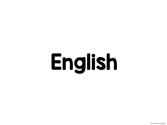# English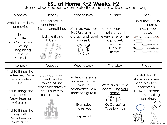## ESL at Home K-2 Weeks 1-2 Use notebook paper to complete these activities. Do one each day!

| Monday                                                                                                                                                                                                      | Tuesday                                                                                                    | Wednesday                                                                                                                              | Thursday                                                                                                           | Friday                                                                                                                                                                                                      |
|-------------------------------------------------------------------------------------------------------------------------------------------------------------------------------------------------------------|------------------------------------------------------------------------------------------------------------|----------------------------------------------------------------------------------------------------------------------------------------|--------------------------------------------------------------------------------------------------------------------|-------------------------------------------------------------------------------------------------------------------------------------------------------------------------------------------------------------|
| Watch a TV show<br>or movie.<br>List:<br>Title<br>Characters<br>Setting<br>Beginning<br>Middle<br>End                                                                                                       | Use objects in<br>your house to<br>invent something.<br>Illustrate it and<br>label it.                     | What do you look<br>like? Use a mirror<br>to draw and label<br>yourself.                                                               | Write a word that<br>that starts with<br>every letter of the<br>alphabet.<br>Example:<br>A: apple<br>$B:$ boy      | Use a toothbrush<br>to measure 5<br>things in your<br>house.<br>Toothbrush Measuring<br>The<br>is toothbrushes long.<br>The<br>toothbrushes long.<br>The<br>toothbrushes long.<br>toothbrushes long.<br>The |
| Monday                                                                                                                                                                                                      | Tuesday                                                                                                    | Wednesday                                                                                                                              | Thursday                                                                                                           | Friday                                                                                                                                                                                                      |
| Find 10 things that<br>are heavy. Draw<br>them or write a<br>list.<br>Find 10 things that<br>are red.<br>Draw them or<br>write a list.<br>Find 10 things that<br>are soft.<br>Draw them or<br>write a list. | Stack cans and<br>boxes to make a<br>tower. Stand<br>back and throw a<br>small pillow to<br>knock it down. | Write a message<br>to someone, then<br>write it<br>backwards. Ask<br>them to figure it<br>out!<br>Example:<br>I love you<br>uoy evol I | Write an acrostic<br>poem using your<br>name.<br>Example:<br><b>R:</b> Really fun<br>O: Outgoing<br>Y: yellow hair | Watch two TV<br>shows or movies<br>and pick two<br>characters.<br>Draw a cartoon<br>of them meeting<br>each other.<br>C M. Montroni-Currais<br>2020                                                         |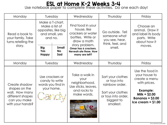#### ESL at Home K-2 Weeks 3-4 Use notebook paper to complete these activities. Do one each day!

| Monday                                                                                                   | Tuesday                                                                               | Wednesday                                                                                     | Thursday                                                                                                                   | Friday                                                                                                                                                                 |
|----------------------------------------------------------------------------------------------------------|---------------------------------------------------------------------------------------|-----------------------------------------------------------------------------------------------|----------------------------------------------------------------------------------------------------------------------------|------------------------------------------------------------------------------------------------------------------------------------------------------------------------|
| Read a book to<br>your family. Take<br>turns retelling the<br>story.                                     | Make a T-chart.<br>Make a list of<br>opposites, like big<br>and small, yes<br>and no. | Find food in your<br>house, like<br>crackers or water<br>bottles. Write or<br>draw a math     | Go outside. Tell<br>someone what<br>you see, hear,<br>think, feel, and<br>smell.                                           | Choose an<br>animal. Draw it<br>and label its body<br>parts. Write<br>about how it                                                                                     |
|                                                                                                          | <b>Small</b><br><b>Big</b><br>Yes<br><b>No</b><br><b>Happy</b><br>Sad                 | story problem.<br>Omar has 6 crackers.<br>Neveah ate three. How<br>many are left?             |                                                                                                                            | moves.                                                                                                                                                                 |
| Monday                                                                                                   | Tuesday                                                                               | Wednesday                                                                                     | Thursday                                                                                                                   | Friday                                                                                                                                                                 |
| Create shadow<br>shapes on the<br>wall. How many<br>different shapes<br>can you make<br>with your hands? | Use crackers or<br>candy to write<br>words you find in<br>your home.<br>Candy         | Take a walk in<br>your<br>neighborhood.<br>Use sticks, leaves,<br>and rocks to<br>make words. | Sort your clothes<br>or toys into<br>rainbow order.<br>Sort your clothes<br>or toys into order,<br>biggest to<br>smallest. | Use the food in<br>your house to<br>create a menu<br>with prices.<br><b>Example:</b><br>$Milk = $2.00$<br><b>Bananas = <math>\$3.00</math></b><br>$lce$ cream = \$1.00 |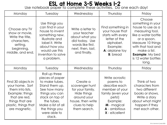## ESL at Home 3-5 Weeks 1-2 Use notebook paper to complete these activities. Do one each day!

| Monday                                                                                                                                                    | Tuesday                                                                                                                                                                                                   | Wednesday                                                                                                                          | Thursday                                                                                                                                                         | Friday                                                                                                                                                                                                                         |
|-----------------------------------------------------------------------------------------------------------------------------------------------------------|-----------------------------------------------------------------------------------------------------------------------------------------------------------------------------------------------------------|------------------------------------------------------------------------------------------------------------------------------------|------------------------------------------------------------------------------------------------------------------------------------------------------------------|--------------------------------------------------------------------------------------------------------------------------------------------------------------------------------------------------------------------------------|
| Choose any TV<br>show or movie.<br>Write the title,<br>characters,<br>setting,<br>beginning,<br>middle, and end.                                          | Use things you<br>can find in your<br>house to invent<br>something new.<br>Illustrate and<br>label it. Write<br>about how you<br>would use this<br>invention to solve<br>a problem.                       | Write a letter to<br>your teacher<br>about what you<br>did today. Use<br>words like first,<br>next, then, last,<br>and finally.    | Find something in<br>your house that<br>starts with every<br>letter of the<br>alphabet.<br>Example:<br>A: airplane toy<br><b>B</b> : bread                       | Choose<br>something in your<br>house to use as a<br>measuring tool,<br>like a water bottle<br>or a spoon.<br>Measure 10 things<br>with that tool and<br>make a list.<br><b>Example: My bed</b><br>is 12 water bottles<br>long. |
| Monday                                                                                                                                                    | Tuesday                                                                                                                                                                                                   | Wednesday                                                                                                                          | Thursday                                                                                                                                                         | Friday                                                                                                                                                                                                                         |
| Find 30 objects in<br>your home. Sort<br>them into lists.<br>Example: things<br>that are red,<br>things that are<br>plastic, things that<br>are magnetic. | Roll up three<br>pieces of paper<br>to make tubes.<br>Stand them up.<br>See how many<br>things you can<br>stack on top of<br>the tubes.<br>Make a list of all<br>the things you<br>were able to<br>stack. | Create a<br>scavenger hunt<br>for your family.<br>Hide things<br>around your<br>house, then write<br>clues to help<br>them search. | Write acrostic<br>poems to<br>describe each<br>member of your<br>family (even your<br>pets!)<br>Example:<br>M - magical<br><b>A</b> - ambitious<br>X - eXcellent | Think of two<br>characters from<br>two different<br>books or shows.<br>Write a story<br>about what might<br>happen if they<br>met each other.                                                                                  |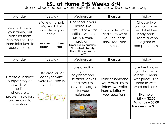### ESL at Home 3-5 Weeks 3-4 Use notebook paper to complete these activities. Do one each day!

| Monday                                                                                                                                   | Tuesday                                                                                    |       | Wednesday                                                                                                                                                                            | Thursday                                                                                           | Friday                                                                                                                                                                                     |
|------------------------------------------------------------------------------------------------------------------------------------------|--------------------------------------------------------------------------------------------|-------|--------------------------------------------------------------------------------------------------------------------------------------------------------------------------------------|----------------------------------------------------------------------------------------------------|--------------------------------------------------------------------------------------------------------------------------------------------------------------------------------------------|
| Read a book to<br>your family, but<br>don't let them<br>see the title. Let<br>them take turns to<br>guess the title.                     | Make a T-chart.<br>Make a list of<br>opposites in your<br>home.<br>washer<br>fork<br>spoon | dryer | Find food in your<br>house, like<br>crackers or water<br>bottles. Write or<br>draw a word<br>problem.<br>Omar has 36 crackers.<br>Neveah ate twenty-<br>three. How many are<br>left? | Go outside. Write<br>and draw what<br>you see, hear,<br>think, feel, and<br>smell.                 | Choose two<br>animals. Draw<br>and label their<br>body parts.<br>Create a venn<br>diagram to<br>compare them.                                                                              |
| Monday                                                                                                                                   | Tuesday                                                                                    |       | Wednesday                                                                                                                                                                            | Thursday                                                                                           | Friday                                                                                                                                                                                     |
| Create a shadow<br>puppet story on<br>the wall. Write<br>the title.<br>characters,<br>problem, solution,<br>and ending to<br>your story. | Use crackers or<br>candy to write<br>words you find in<br>your home.<br>Candy              |       | Take a walk in<br>your<br>neighborhood.<br>Use sticks, leaves,<br>and rocks to<br>leave messages<br>for your<br>neighbors.                                                           | Think of someone<br>you would like to<br>interview. Write<br>them a letter with<br>your questions. | Use the food in<br>your house to<br>create a menu<br>with prices. Use<br>them to write<br>word problems.<br><b>Example:</b><br>$Milk = $2.00$<br>Bananas = $$3.00$<br>$lce$ cream = \$1.00 |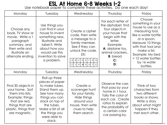# ESL At Home 6-8 Weeks 1-2 Use notebook paper to complete these activities. Do one each day!

| Monday                                                                                                                                                    | Tuesday                                                                                                                                                                                                   | Wednesday                                                                                                                                                                                                                                                 | Thursday                                                                                                                                                                                       | Friday                                                                                                                                                                                                                                     |
|-----------------------------------------------------------------------------------------------------------------------------------------------------------|-----------------------------------------------------------------------------------------------------------------------------------------------------------------------------------------------------------|-----------------------------------------------------------------------------------------------------------------------------------------------------------------------------------------------------------------------------------------------------------|------------------------------------------------------------------------------------------------------------------------------------------------------------------------------------------------|--------------------------------------------------------------------------------------------------------------------------------------------------------------------------------------------------------------------------------------------|
| Choose any<br>book, TV show or<br>movie. Write a 1<br>paragraph<br>summary, and<br>then write and<br>illustrate an<br>alternate ending.                   | Use things you<br>can find in your<br>house to invent<br>something new.<br>Illustrate and<br>label it. Write<br>about how you<br>would use this<br>invention to solve<br>a problem.                       | Create a cipher<br>code, then write<br>a message to a<br>family member.<br>See if they can<br>unlock the code.<br>EX:<br>$G$ H<br>B C <br>$D$ $E$ $F$<br>Α<br>$\mathsf{X}$<br>$\mathsf Z$<br>ΥI<br>W<br>$\mathsf{V}$<br>U<br>$\mathsf{T}$<br>$\mathsf{S}$ | For each letter of<br>the alphabet, find<br>four objects in<br>your house that<br>begin with the<br>letter.<br>Example:<br>A: airplane toy,<br>animal crackers<br><b>B</b> : bread<br>C:<br>D: | Choose<br>something in your<br>house to use as a<br>measuring tool,<br>like a water bottle<br>or a spoon.<br>Measure 10 things<br>with that tool and<br>make a list.<br>Example: My bed<br>$= 12$ water bottles<br>by 16 water<br>bottles. |
| Monday                                                                                                                                                    | Tuesday                                                                                                                                                                                                   | Wednesday                                                                                                                                                                                                                                                 | Thursday                                                                                                                                                                                       | Friday                                                                                                                                                                                                                                     |
| Find 30 objects in<br>your home. Sort<br>them into lists.<br>Example: things<br>that are red,<br>things that are<br>plastic, things that<br>are magnetic. | Roll up three<br>pieces of paper<br>to make tubes.<br>Stand them up.<br>See how many<br>things you can<br>stack on top of<br>the tubes.<br>Make a list of all<br>the things you<br>were able to<br>stack. | Create a<br>scavenger hunt<br>for your family.<br>Hide things<br>around your<br>house, then write<br>clues to help<br>them search.                                                                                                                        | Observe the cars<br>that pass by your<br>home in 1 hour.<br>Tally the color of<br>each car. Create<br>ratios to explain<br>the probability of<br>a certain color<br>car passing by.            | Think of two<br>characters from<br>two different<br>books or shows.<br>Write a story<br>about what might<br>happen if they<br>met each other.                                                                                              |